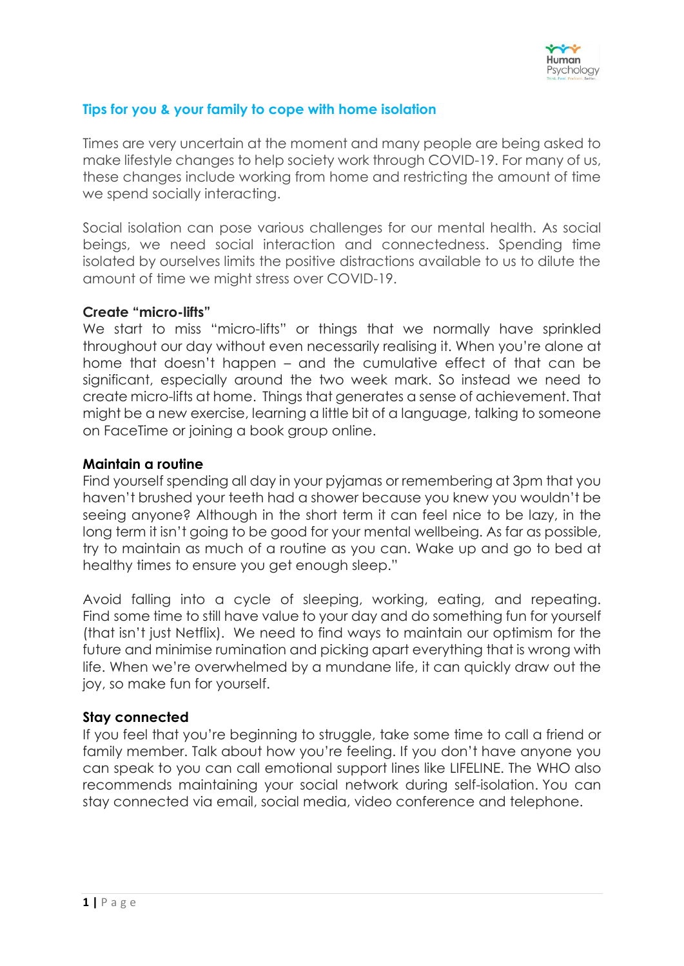

## **Tips for you & your family to cope with home isolation**

Times are very uncertain at the moment and many people are being asked to make lifestyle changes to help society work through COVID-19. For many of us, these changes include working from home and restricting the amount of time we spend socially interacting.

Social isolation can pose various challenges for our mental health. As social beings, we need social interaction and connectedness. Spending time isolated by ourselves limits the positive distractions available to us to dilute the amount of time we might stress over COVID-19.

#### **Create "micro-lifts"**

We start to miss "micro-lifts" or things that we normally have sprinkled throughout our day without even necessarily realising it. When you're alone at home that doesn't happen – and the cumulative effect of that can be significant, especially around the two week mark. So instead we need to create micro-lifts at home. Things that generates a sense of achievement. That might be a new exercise, learning a little bit of a language, talking to someone on FaceTime or joining a book group online.

#### **Maintain a routine**

Find yourself spending all day in your pyjamas or remembering at 3pm that you haven't brushed your teeth had a shower because you knew you wouldn't be seeing anyone? Although in the short term it can feel nice to be lazy, in the long term it isn't going to be good for your mental wellbeing. As far as possible, try to maintain as much of a routine as you can. Wake up and go to bed at healthy times to ensure you get enough sleep."

Avoid falling into a cycle of sleeping, working, eating, and repeating. Find some time to still have value to your day and do something fun for yourself (that isn't just Netflix). We need to find ways to maintain our optimism for the future and minimise rumination and picking apart everything that is wrong with life. When we're overwhelmed by a mundane life, it can quickly draw out the joy, so make fun for yourself.

## **Stay connected**

If you feel that you're beginning to struggle, take some time to call a friend or family member. Talk about how you're feeling. If you don't have anyone you can speak to you can call emotional support lines like LIFELINE. The WHO also recommends maintaining your social network during self-isolation. You can stay connected via email, social media, video conference and telephone.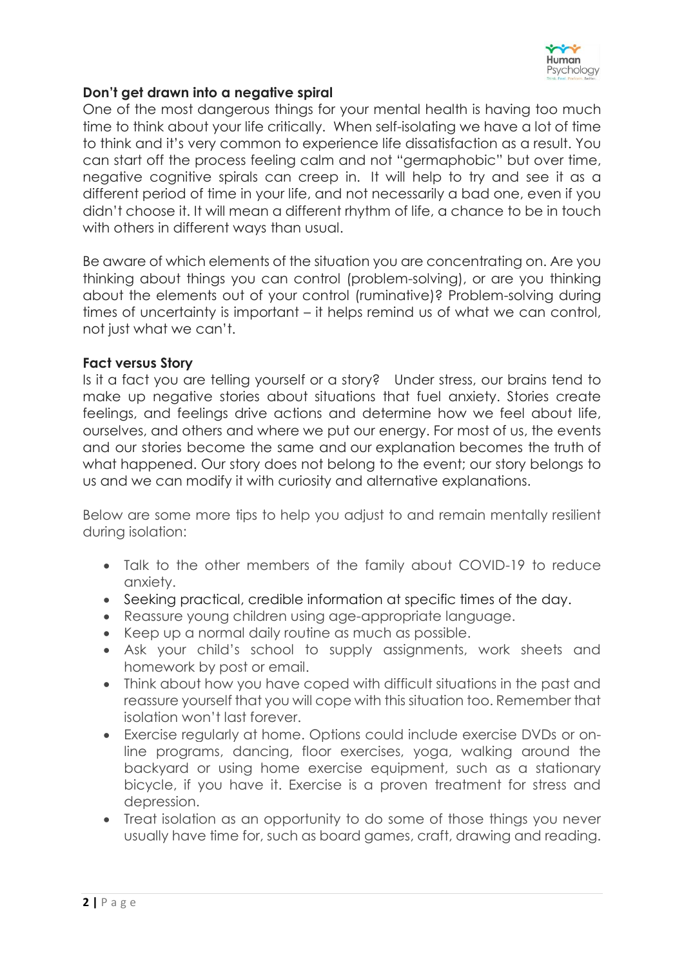

### **Don't get drawn into a negative spiral**

One of the most dangerous things for your mental health is having too much time to think about your life critically. When self-isolating we have a lot of time to think and it's very common to experience life dissatisfaction as a result. You can start off the process feeling calm and not "germaphobic" but over time, negative cognitive spirals can creep in. It will help to try and see it as a different period of time in your life, and not necessarily a bad one, even if you didn't choose it. It will mean a different rhythm of life, a chance to be in touch with others in different ways than usual.

Be aware of which elements of the situation you are concentrating on. Are you thinking about things you can control (problem-solving), or are you thinking about the elements out of your control (ruminative)? Problem-solving during times of uncertainty is important – it helps remind us of what we can control, not just what we can't.

#### **Fact versus Story**

Is it a fact you are telling yourself or a story? Under stress, our brains tend to make up negative stories about situations that fuel anxiety. Stories create feelings, and feelings drive actions and determine how we feel about life, ourselves, and others and where we put our energy. For most of us, the events and our stories become the same and our explanation becomes the truth of what happened. Our story does not belong to the event; our story belongs to us and we can modify it with curiosity and alternative explanations.

Below are some more tips to help you adjust to and remain mentally resilient during isolation:

- Talk to the other members of the family about COVID-19 to reduce anxiety.
- Seeking practical, credible information at specific times of the day.
- Reassure young children using age-appropriate language.
- Keep up a normal daily routine as much as possible.
- Ask your child's school to supply assignments, work sheets and homework by post or email.
- Think about how you have coped with difficult situations in the past and reassure yourself that you will cope with this situation too. Remember that isolation won't last forever.
- Exercise regularly at home. Options could include exercise DVDs or online programs, dancing, floor exercises, yoga, walking around the backyard or using home exercise equipment, such as a stationary bicycle, if you have it. Exercise is a proven treatment for stress and depression.
- Treat isolation as an opportunity to do some of those things you never usually have time for, such as board games, craft, drawing and reading.